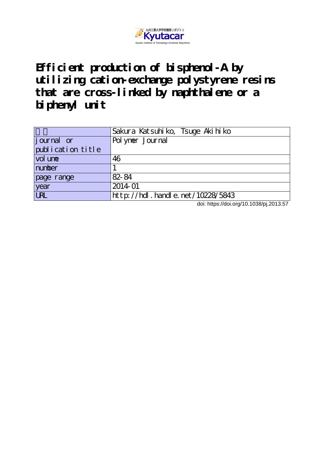

**Efficient production of bisphenol-A by utilizing cation-exchange polystyrene resins** that are cross-linked by naphthalene or a **biphenyl unit**

|                   | Sakura Katsuhiko, Tsuge Akihiko  |
|-------------------|----------------------------------|
| journal or        | Polymer Journal                  |
| publication title |                                  |
| vol une           | 46                               |
| number            |                                  |
| page range        | 82-84                            |
| year              | 2014-01                          |
| <b>URL</b>        | http://hdl.handle.net/10228/5843 |

doi: https://doi.org/10.1038/pj.2013.57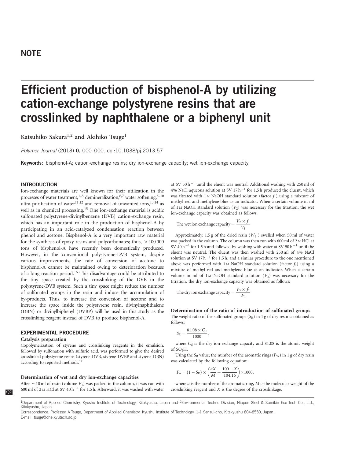# **NOTE**

# Efficient production of bisphenol-A by utilizing cation-exchange polystyrene resins that are crosslinked by naphthalene or a biphenyl unit

Katsuhiko Sakura<sup>1,2</sup> and Akihiko Tsuge<sup>1</sup>

Polymer Journal (2013) 0, 000–000. doi:[10.1038/pj.2013.57](http://dx.doi.org/10.1038/pj.2013.57)

Keywords: bisphenol-A; cation-exchange resins; dry ion-exchange capacity; wet ion-exchange capacity

# INTRODUCTION

Ion-exchange materials are well known for their utilization in the processes of water treatment,<sup>1–5</sup> demineralization,<sup>[6,7](#page-3-0)</sup> water softening,<sup>8–10</sup> ultra purification of water<sup>[11,12](#page-3-0)</sup> and removal of unwanted ions,<sup>[13,14](#page-3-0)</sup> as well as in chemical processing.[15](#page-3-0) One ion-exchange material is acidic sulfonated polystyrene-divinylbenzene (DVB) cation-exchange resin, which has an important role in the production of bisphenol-A by participating in an acid-catalyzed condensation reaction between phenol and acetone. Bisphenol-A is a very important raw material for the synthesis of epoxy resins and polycarbonates; thus,  $>400000$ tons of bisphenol-A have recently been domestically produced. However, in the conventional polystyrene-DVB system, despite various improvements, the rate of conversion of acetone to bisphenol-A cannot be maintained owing to deterioration because of a long reaction period[.16](#page-3-0) This disadvantage could be attributed to the tiny space created by the crosslinking of the DVB in the polystyrene-DVB system. Such a tiny space might reduce the number of sulfonated groups in the resin and induce the accumulation of by-products. Thus, to increase the conversion of acetone and to increase the space inside the polystyrene resin, divinylnaphthalene (DBN) or divinylbiphenyl (DVBP) will be used in this study as the crosslinking reagent instead of DVB to produce bisphenol-A.

# EXPERIMENTAL PROCEDURE

#### Catalysis preparation

Copolymerization of styrene and crosslinking reagents in the emulsion, followed by sulfonation with sulfuric acid, was performed to give the desired crosslinked polystyrene resins (styrene-DVB, styrene-DVBP and styrene-DBN) according to reported methods.<sup>17</sup>

### Determination of wet and dry ion-exchange capacities

After  $\sim$  10 ml of resin (volume V<sub>1</sub>) was packed in the column, it was run with 600 ml of 2 M HCl at SV 40 h<sup>-1</sup> for 1.5 h. Afterward, it was washed with water

at SV 50 h<sup>-1</sup> until the eluent was neutral. Additional washing with 250 ml of 4% NaCl aqueous solution at SV 17 $h^{-1}$  for 1.5 h produced the eluent, which was titrated with 1 M NaOH standard solution (factor  $f_1$ ) using a mixture of methyl red and methylene blue as an indicator. When a certain volume in ml of 1 M NaOH standard solution  $(V_2)$  was necessary for the titration, the wet ion-exchange capacity was obtained as follows:

The wet ion exchange capacity  $=$   $\frac{V_2 \times f_1}{V_1}$ 

Approximately, 1.5 g of the dried resin  $(W_1)$  swelled when 50 ml of water was packed in the column. The column was then run with 600 ml of 2 <sup>M</sup> HCl at SV 40 h<sup>-1</sup> for 1.5 h and followed by washing with water at SV 50 h<sup>-1</sup> until the eluent was neutral. The eluent was then washed with 250 ml of 4% NaCl solution at SV  $17 h^{-1}$  for 1.5 h, and a similar procedure to the one mentioned above was performed with 1 M NaOH standard solution (factor  $f_2$ ) using a mixture of methyl red and methylene blue as an indicator. When a certain volume in ml of  $1 \text{M}$  NaOH standard solution  $(V_3)$  was necessary for the titration, the dry ion-exchange capacity was obtained as follows:

The dry ion exchange capacity = 
$$
\frac{V_3 \times f_2}{W_1}
$$

#### Determination of the ratio of introduction of sulfonated groups

The weight ratio of the sulfonated groups  $(S_R)$  in 1 g of dry resin is obtained as follows:

$$
S_R = \frac{81.08 \times C_d}{1000},
$$

where  $C_d$  is the dry ion-exchange capacity and 81.08 is the atomic weight of SO3H.

Using the  $S_R$  value, the number of the aromatic rings ( $P_W$ ) in 1 g of dry resin was calculated by the following equation:

$$
P_{\rm w} = (1 - S_{\rm R}) \times \left(\frac{aX}{M} + \frac{100 - X}{104.16}\right) \times 1000,
$$

where  $a$  is the number of the aromatic ring,  $M$  is the molecular weight of the crosslinking reagent and X is the degree of the crosslinkage.

<sup>1</sup>Department of Applied Chemistry, Kyushu Institute of Technology, Kitakyushu, Japan and <sup>2</sup>Environmental Techno Division, Nippon Steel & Sumikin Eco-Tech Co., Ltd., Kitakyushu, Japan

Correspondence: Professor A Tsuge, Department of Applied Chemistry, Kyushu Institute of Technology, 1-1 Sensui-cho, Kitakyushu 804-8550, Japan. E-mail: [tsuge@che.kyutech.ac.jp](mailto:tsuge@che.kyutech.ac.jp)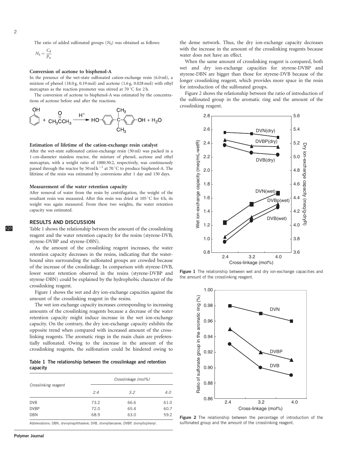The ratio of added sulfonated groups  $(N<sub>S</sub>)$  was obtained as follows:

$$
N_{\rm S} = \frac{C_{\rm d}}{P_{\rm w}}
$$

#### Conversion of acetone to bisphenol-A

In the presence of the wet-state sulfonated cation-exchange resin (6.0 ml), a mixture of phenol (18.0 g, 0.19 mol) and acetone (1.6 g, 0.028 mol) with ethyl mercaptan as the reaction promoter was stirred at  $70^{\circ}$ C for 2 h.

The conversion of acetone to bisphenol-A was estimated by the concentrations of acetone before and after the reactions.



#### Estimation of lifetime of the cation-exchange resin catalyst

After the wet-state sulfonated cation-exchange resin (50 ml) was packed in a 1-cm-diameter stainless reactor, the mixture of phenol, acetone and ethyl mercaptan, with a weight ratio of 1000:30:2, respectively, was continuously passed through the reactor by 50 ml h<sup>-1</sup> at 70 °C to produce bisphenol-A. The lifetime of the resin was estimated by conversions after 1 day and 150 days.

## Measurement of the water retention capacity

After removal of water from the resin by centrifugation, the weight of the resultant resin was measured. After this resin was dried at  $105\,^{\circ}\text{C}$  for 4 h, its weight was again measured. From these two weights, the water retention capacity was estimated.

# RESULTS AND DISCUSSION

Q3 Table 1 shows the relationship between the amount of the crosslinking reagent and the water retention capacity for the resins (styrene-DVB, styrene-DVBP and styrene-DBN).

> As the amount of the crosslinking reagent increases, the water retention capacity decreases in the resins, indicating that the waterbound sites surrounding the sulfonated groups are crowded because of the increase of the crosslinkage. In comparison with styrene-DVB, lower water retention observed in the resins (styrene-DVBP and styrene-DBN) could be explained by the hydrophobic character of the crosslinking reagent.

> Figure 1 shows the wet and dry ion-exchange capacities against the amount of the crosslinking reagent in the resins.

> The wet ion-exchange capacity increases corresponding to increasing amounts of the crosslinking reagents because a decrease of the water retention capacity might induce increase in the wet ion-exchange capacity. On the contrary, the dry ion-exchange capacity exhibits the opposite trend when compared with increased amount of the crosslinking reagents. The aromatic rings in the main chain are preferentially sulfonated. Owing to the increase in the amount of the crosslinking reagents, the sulfonation could be hindered owing to

Table 1 The relationship between the crosslinkage and retention capacity

|                      | Crosslinkage (mol%) |      |      |
|----------------------|---------------------|------|------|
| Crosslinking reagent | 2.4                 | 3.2  | 4.0  |
| <b>DVB</b>           | 73.2                | 66.6 | 61.0 |
| <b>DVBP</b>          | 72.0                | 65.4 | 60.7 |
| <b>DBN</b>           | 68.9                | 63.0 | 59.2 |
|                      |                     |      |      |

Abbreviations: DBN, divinylnaphthalene; DVB, divinylbenzene; DVBP, divinylbiphenyl.

the dense network. Thus, the dry ion-exchange capacity decreases with the increase in the amount of the crosslinking reagents because water does not have an effect.

When the same amount of crosslinking reagent is compared, both wet and dry ion-exchange capacities for styrene-DVBP and styrene-DBN are bigger than those for styrene-DVB because of the longer crosslinking reagent, which provides more space in the resin for introduction of the sulfonated groups.

Figure 2 shows the relationship between the ratio of introduction of the sulfonated group in the aromatic ring and the amount of the crosslinking reagent.



Figure 1 The relationship between wet and dry ion-exchange capacities and the amount of the crosslinking reagent.



Figure 2 The relationship between the percentage of introduction of the sulfonated group and the amount of the crosslinking reagent.